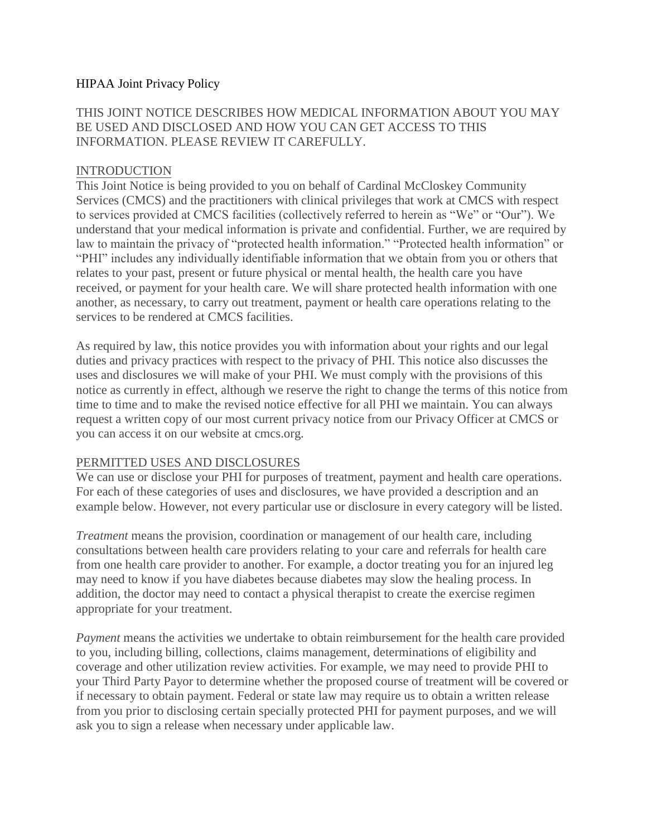### HIPAA Joint Privacy Policy

# THIS JOINT NOTICE DESCRIBES HOW MEDICAL INFORMATION ABOUT YOU MAY BE USED AND DISCLOSED AND HOW YOU CAN GET ACCESS TO THIS INFORMATION. PLEASE REVIEW IT CAREFULLY.

### INTRODUCTION

This Joint Notice is being provided to you on behalf of Cardinal McCloskey Community Services (CMCS) and the practitioners with clinical privileges that work at CMCS with respect to services provided at CMCS facilities (collectively referred to herein as "We" or "Our"). We understand that your medical information is private and confidential. Further, we are required by law to maintain the privacy of "protected health information." "Protected health information" or "PHI" includes any individually identifiable information that we obtain from you or others that relates to your past, present or future physical or mental health, the health care you have received, or payment for your health care. We will share protected health information with one another, as necessary, to carry out treatment, payment or health care operations relating to the services to be rendered at CMCS facilities.

As required by law, this notice provides you with information about your rights and our legal duties and privacy practices with respect to the privacy of PHI. This notice also discusses the uses and disclosures we will make of your PHI. We must comply with the provisions of this notice as currently in effect, although we reserve the right to change the terms of this notice from time to time and to make the revised notice effective for all PHI we maintain. You can always request a written copy of our most current privacy notice from our Privacy Officer at CMCS or you can access it on our website at cmcs.org.

#### PERMITTED USES AND DISCLOSURES

We can use or disclose your PHI for purposes of treatment, payment and health care operations. For each of these categories of uses and disclosures, we have provided a description and an example below. However, not every particular use or disclosure in every category will be listed.

*Treatment* means the provision, coordination or management of our health care, including consultations between health care providers relating to your care and referrals for health care from one health care provider to another. For example, a doctor treating you for an injured leg may need to know if you have diabetes because diabetes may slow the healing process. In addition, the doctor may need to contact a physical therapist to create the exercise regimen appropriate for your treatment.

*Payment* means the activities we undertake to obtain reimbursement for the health care provided to you, including billing, collections, claims management, determinations of eligibility and coverage and other utilization review activities. For example, we may need to provide PHI to your Third Party Payor to determine whether the proposed course of treatment will be covered or if necessary to obtain payment. Federal or state law may require us to obtain a written release from you prior to disclosing certain specially protected PHI for payment purposes, and we will ask you to sign a release when necessary under applicable law.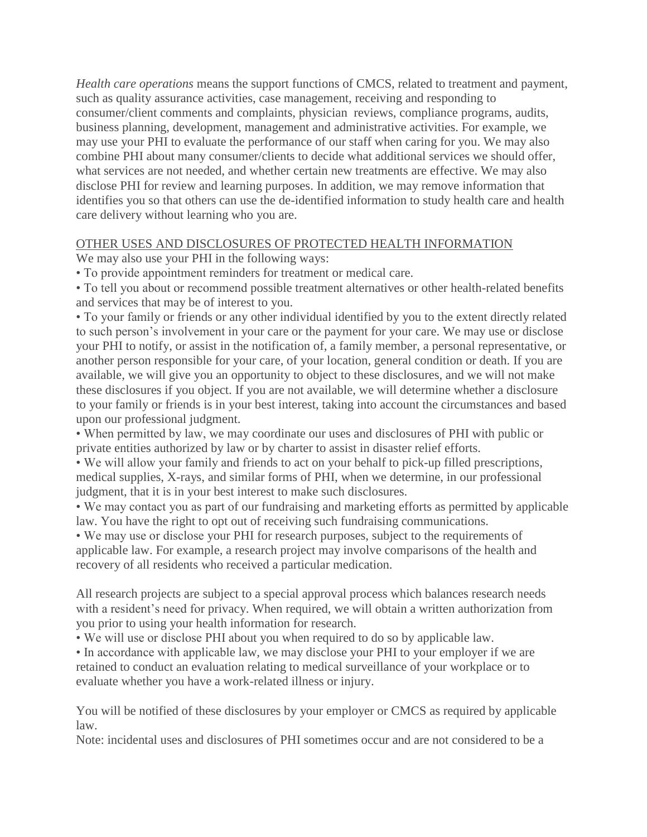*Health care operations* means the support functions of CMCS, related to treatment and payment, such as quality assurance activities, case management, receiving and responding to consumer/client comments and complaints, physician reviews, compliance programs, audits, business planning, development, management and administrative activities. For example, we may use your PHI to evaluate the performance of our staff when caring for you. We may also combine PHI about many consumer/clients to decide what additional services we should offer, what services are not needed, and whether certain new treatments are effective. We may also disclose PHI for review and learning purposes. In addition, we may remove information that identifies you so that others can use the de-identified information to study health care and health care delivery without learning who you are.

### OTHER USES AND DISCLOSURES OF PROTECTED HEALTH INFORMATION

We may also use your PHI in the following ways:

• To provide appointment reminders for treatment or medical care.

• To tell you about or recommend possible treatment alternatives or other health-related benefits and services that may be of interest to you.

• To your family or friends or any other individual identified by you to the extent directly related to such person's involvement in your care or the payment for your care. We may use or disclose your PHI to notify, or assist in the notification of, a family member, a personal representative, or another person responsible for your care, of your location, general condition or death. If you are available, we will give you an opportunity to object to these disclosures, and we will not make these disclosures if you object. If you are not available, we will determine whether a disclosure to your family or friends is in your best interest, taking into account the circumstances and based upon our professional judgment.

• When permitted by law, we may coordinate our uses and disclosures of PHI with public or private entities authorized by law or by charter to assist in disaster relief efforts.

• We will allow your family and friends to act on your behalf to pick-up filled prescriptions, medical supplies, X-rays, and similar forms of PHI, when we determine, in our professional judgment, that it is in your best interest to make such disclosures.

• We may contact you as part of our fundraising and marketing efforts as permitted by applicable law. You have the right to opt out of receiving such fundraising communications.

• We may use or disclose your PHI for research purposes, subject to the requirements of applicable law. For example, a research project may involve comparisons of the health and recovery of all residents who received a particular medication.

All research projects are subject to a special approval process which balances research needs with a resident's need for privacy. When required, we will obtain a written authorization from you prior to using your health information for research.

• We will use or disclose PHI about you when required to do so by applicable law.

• In accordance with applicable law, we may disclose your PHI to your employer if we are retained to conduct an evaluation relating to medical surveillance of your workplace or to evaluate whether you have a work-related illness or injury.

You will be notified of these disclosures by your employer or CMCS as required by applicable law.

Note: incidental uses and disclosures of PHI sometimes occur and are not considered to be a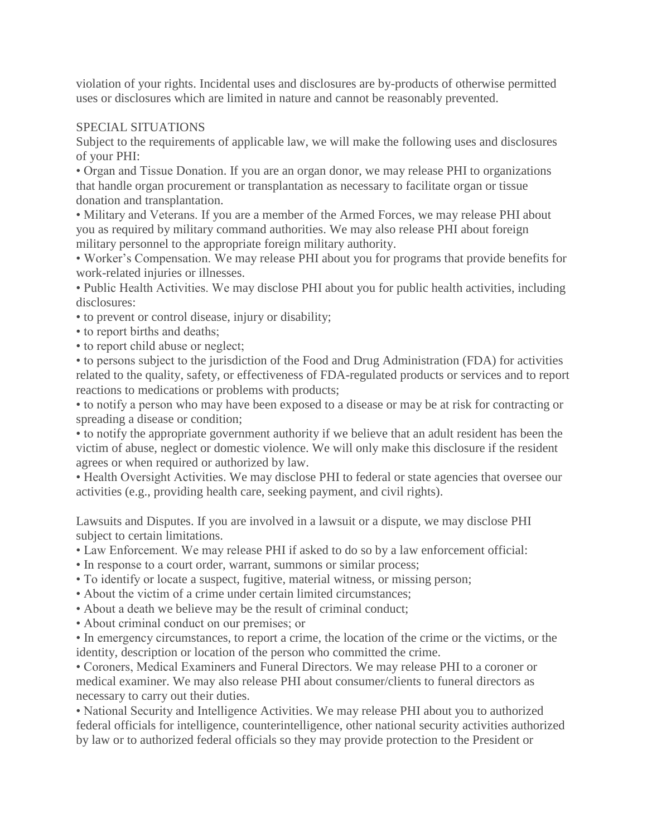violation of your rights. Incidental uses and disclosures are by-products of otherwise permitted uses or disclosures which are limited in nature and cannot be reasonably prevented.

### SPECIAL SITUATIONS

Subject to the requirements of applicable law, we will make the following uses and disclosures of your PHI:

• Organ and Tissue Donation. If you are an organ donor, we may release PHI to organizations that handle organ procurement or transplantation as necessary to facilitate organ or tissue donation and transplantation.

• Military and Veterans. If you are a member of the Armed Forces, we may release PHI about you as required by military command authorities. We may also release PHI about foreign military personnel to the appropriate foreign military authority.

• Worker's Compensation. We may release PHI about you for programs that provide benefits for work-related injuries or illnesses.

• Public Health Activities. We may disclose PHI about you for public health activities, including disclosures:

• to prevent or control disease, injury or disability;

- to report births and deaths;
- to report child abuse or neglect;

• to persons subject to the jurisdiction of the Food and Drug Administration (FDA) for activities related to the quality, safety, or effectiveness of FDA-regulated products or services and to report reactions to medications or problems with products;

• to notify a person who may have been exposed to a disease or may be at risk for contracting or spreading a disease or condition;

• to notify the appropriate government authority if we believe that an adult resident has been the victim of abuse, neglect or domestic violence. We will only make this disclosure if the resident agrees or when required or authorized by law.

• Health Oversight Activities. We may disclose PHI to federal or state agencies that oversee our activities (e.g., providing health care, seeking payment, and civil rights).

Lawsuits and Disputes. If you are involved in a lawsuit or a dispute, we may disclose PHI subject to certain limitations.

• Law Enforcement. We may release PHI if asked to do so by a law enforcement official:

- In response to a court order, warrant, summons or similar process;
- To identify or locate a suspect, fugitive, material witness, or missing person;
- About the victim of a crime under certain limited circumstances;
- About a death we believe may be the result of criminal conduct;

• About criminal conduct on our premises; or

• In emergency circumstances, to report a crime, the location of the crime or the victims, or the identity, description or location of the person who committed the crime.

• Coroners, Medical Examiners and Funeral Directors. We may release PHI to a coroner or medical examiner. We may also release PHI about consumer/clients to funeral directors as necessary to carry out their duties.

• National Security and Intelligence Activities. We may release PHI about you to authorized federal officials for intelligence, counterintelligence, other national security activities authorized by law or to authorized federal officials so they may provide protection to the President or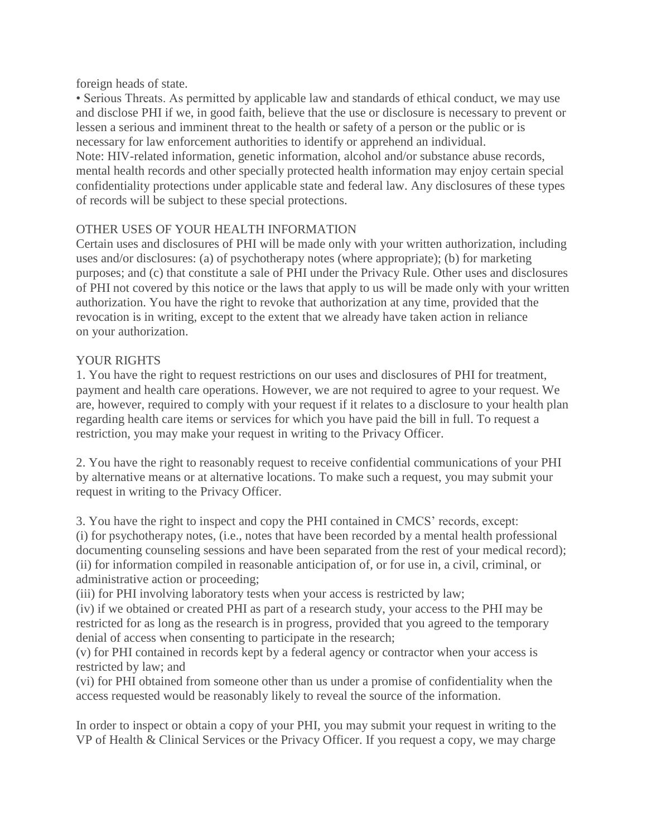foreign heads of state.

• Serious Threats. As permitted by applicable law and standards of ethical conduct, we may use and disclose PHI if we, in good faith, believe that the use or disclosure is necessary to prevent or lessen a serious and imminent threat to the health or safety of a person or the public or is necessary for law enforcement authorities to identify or apprehend an individual. Note: HIV-related information, genetic information, alcohol and/or substance abuse records, mental health records and other specially protected health information may enjoy certain special confidentiality protections under applicable state and federal law. Any disclosures of these types of records will be subject to these special protections.

### OTHER USES OF YOUR HEALTH INFORMATION

Certain uses and disclosures of PHI will be made only with your written authorization, including uses and/or disclosures: (a) of psychotherapy notes (where appropriate); (b) for marketing purposes; and (c) that constitute a sale of PHI under the Privacy Rule. Other uses and disclosures of PHI not covered by this notice or the laws that apply to us will be made only with your written authorization. You have the right to revoke that authorization at any time, provided that the revocation is in writing, except to the extent that we already have taken action in reliance on your authorization.

### YOUR RIGHTS

1. You have the right to request restrictions on our uses and disclosures of PHI for treatment, payment and health care operations. However, we are not required to agree to your request. We are, however, required to comply with your request if it relates to a disclosure to your health plan regarding health care items or services for which you have paid the bill in full. To request a restriction, you may make your request in writing to the Privacy Officer.

2. You have the right to reasonably request to receive confidential communications of your PHI by alternative means or at alternative locations. To make such a request, you may submit your request in writing to the Privacy Officer.

3. You have the right to inspect and copy the PHI contained in CMCS' records, except: (i) for psychotherapy notes, (i.e., notes that have been recorded by a mental health professional documenting counseling sessions and have been separated from the rest of your medical record); (ii) for information compiled in reasonable anticipation of, or for use in, a civil, criminal, or administrative action or proceeding;

(iii) for PHI involving laboratory tests when your access is restricted by law;

(iv) if we obtained or created PHI as part of a research study, your access to the PHI may be restricted for as long as the research is in progress, provided that you agreed to the temporary denial of access when consenting to participate in the research;

(v) for PHI contained in records kept by a federal agency or contractor when your access is restricted by law; and

(vi) for PHI obtained from someone other than us under a promise of confidentiality when the access requested would be reasonably likely to reveal the source of the information.

In order to inspect or obtain a copy of your PHI, you may submit your request in writing to the VP of Health & Clinical Services or the Privacy Officer. If you request a copy, we may charge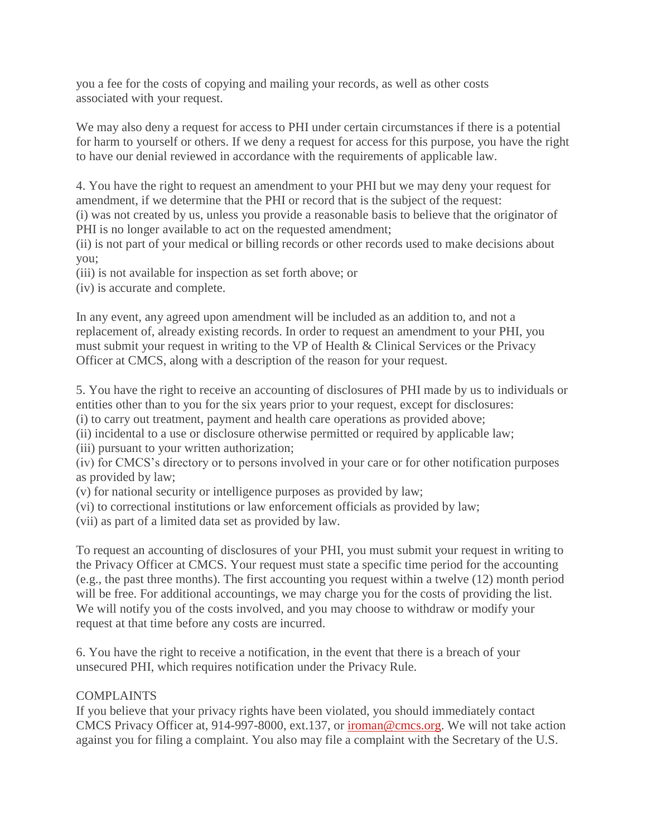you a fee for the costs of copying and mailing your records, as well as other costs associated with your request.

We may also deny a request for access to PHI under certain circumstances if there is a potential for harm to yourself or others. If we deny a request for access for this purpose, you have the right to have our denial reviewed in accordance with the requirements of applicable law.

4. You have the right to request an amendment to your PHI but we may deny your request for amendment, if we determine that the PHI or record that is the subject of the request:

(i) was not created by us, unless you provide a reasonable basis to believe that the originator of PHI is no longer available to act on the requested amendment;

(ii) is not part of your medical or billing records or other records used to make decisions about you;

(iii) is not available for inspection as set forth above; or

(iv) is accurate and complete.

In any event, any agreed upon amendment will be included as an addition to, and not a replacement of, already existing records. In order to request an amendment to your PHI, you must submit your request in writing to the VP of Health & Clinical Services or the Privacy Officer at CMCS, along with a description of the reason for your request.

5. You have the right to receive an accounting of disclosures of PHI made by us to individuals or entities other than to you for the six years prior to your request, except for disclosures:

(i) to carry out treatment, payment and health care operations as provided above;

(ii) incidental to a use or disclosure otherwise permitted or required by applicable law;

(iii) pursuant to your written authorization;

(iv) for CMCS's directory or to persons involved in your care or for other notification purposes as provided by law;

- (v) for national security or intelligence purposes as provided by law;
- (vi) to correctional institutions or law enforcement officials as provided by law;
- (vii) as part of a limited data set as provided by law.

To request an accounting of disclosures of your PHI, you must submit your request in writing to the Privacy Officer at CMCS. Your request must state a specific time period for the accounting (e.g., the past three months). The first accounting you request within a twelve (12) month period will be free. For additional accountings, we may charge you for the costs of providing the list. We will notify you of the costs involved, and you may choose to withdraw or modify your request at that time before any costs are incurred.

6. You have the right to receive a notification, in the event that there is a breach of your unsecured PHI, which requires notification under the Privacy Rule.

# **COMPLAINTS**

If you believe that your privacy rights have been violated, you should immediately contact CMCS Privacy Officer at, 914-997-8000, ext.137, or [iroman@cmcs.org.](mailto:iroman@cmcs.org) We will not take action against you for filing a complaint. You also may file a complaint with the Secretary of the U.S.